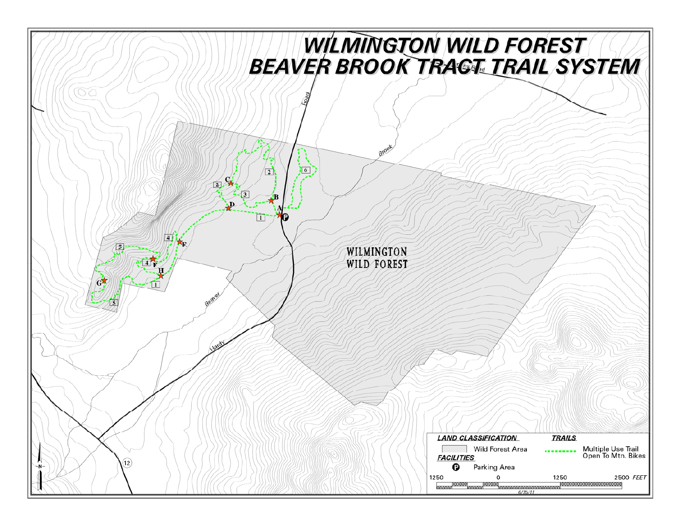